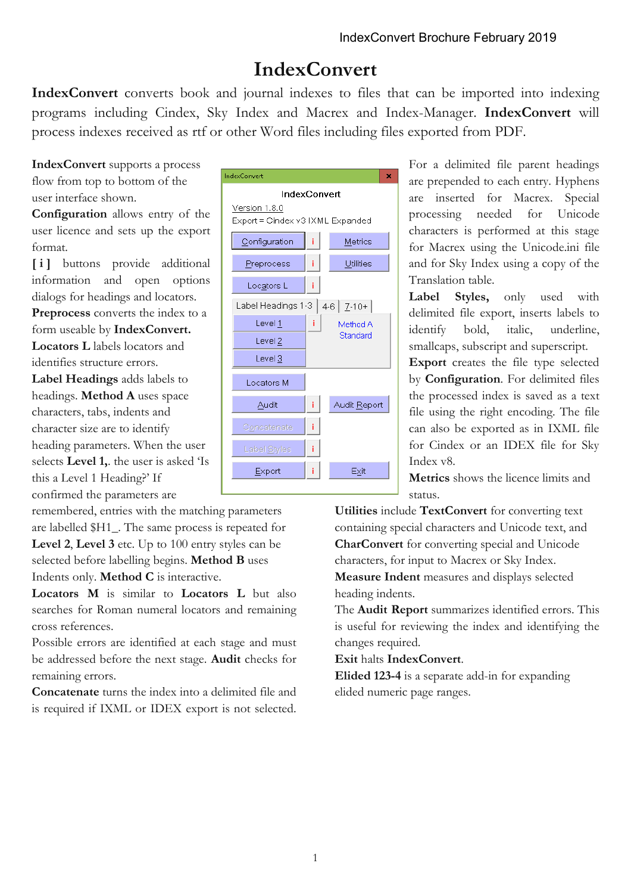## **IndexConvert**

**IndexConvert** converts book and journal indexes to files that can be imported into indexing programs including Cindex, Sky Index and Macrex and Index-Manager. **IndexConvert** will process indexes received as rtf or other Word files including files exported from PDF.

**IndexConvert** supports a process flow from top to bottom of the user interface shown.

**Configuration** allows entry of the user licence and sets up the export format.

**[ i ]** buttons provide additional information and open options dialogs for headings and locators.

**Preprocess** converts the index to a form useable by **IndexConvert.**

**Locators L** labels locators and identifies structure errors.

**Label Headings** adds labels to headings. **Method A** uses space characters, tabs, indents and character size are to identify heading parameters. When the user selects **Level 1,**. the user is asked 'Is this a Level 1 Heading?' If confirmed the parameters are

remembered, entries with the matching parameters are labelled \$H1\_. The same process is repeated for **Level 2**, **Level 3** etc. Up to 100 entry styles can be selected before labelling begins. **Method B** uses Indents only. **Method C** is interactive.

**Locators M** is similar to **Locators L** but also searches for Roman numeral locators and remaining cross references.

Possible errors are identified at each stage and must be addressed before the next stage. **Audit** checks for remaining errors.

**Concatenate** turns the index into a delimited file and is required if IXML or IDEX export is not selected.



For a delimited file parent headings are prepended to each entry. Hyphens are inserted for Macrex. Special processing needed for Unicode characters is performed at this stage for Macrex using the Unicode.ini file and for Sky Index using a copy of the Translation table.

**Label Styles,** only used with delimited file export, inserts labels to identify bold, italic, underline, smallcaps, subscript and superscript.

**Export** creates the file type selected by **Configuration**. For delimited files the processed index is saved as a text file using the right encoding. The file can also be exported as in IXML file for Cindex or an IDEX file for Sky Index v8.

**Metrics** shows the licence limits and status.

**Utilities** include **TextConvert** for converting text containing special characters and Unicode text, and **CharConvert** for converting special and Unicode characters, for input to Macrex or Sky Index. **Measure Indent** measures and displays selected heading indents.

The **Audit Report** summarizes identified errors. This is useful for reviewing the index and identifying the changes required.

**Exit** halts **IndexConvert**.

**Elided 123-4** is a separate add-in for expanding elided numeric page ranges.